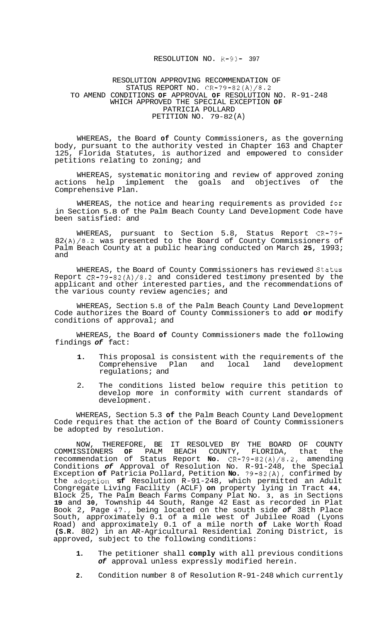## RESOLUTION NO. R-93- 397

## RESOLUTION APPROVING RECOMMENDATION OF STATUS REPORT NO. CR-79-82(A)/8.2 TO AMEND CONDITIONS **OF** APPROVAL **OF** RESOLUTION NO. R-91-248 WHICH APPROVED THE SPECIAL EXCEPTION **OF**  PATRICIA POLLARD PETITION NO. 79-82 (A)

WHEREAS, the Board **of** County Commissioners, as the governing body, pursuant to the authority vested in Chapter 163 and Chapter 125, Florida Statutes, is authorized and empowered to consider petitions relating to zoning; and

WHEREAS, systematic monitoring and review of approved zoning actions help implement the goals and objectives of the Comprehensive Plan.

WHEREAS, the notice and hearing requirements as provided for in Section 5.8 of the Palm Beach County Land Development Code have been satisfied: and

WHEREAS, pursuant to Section 5.8, Status Report CR-79- 82 (A)/8.2 was presented to the Board of County Commissioners of Palm Beach County at a public hearing conducted on March **25,** 1993; and

WHEREAS, the Board of County Commissioners has reviewed Status Report  $CR-79-82(A)/8.2$  and considered testimony presented by the applicant and other interested parties, and the recommendations of the various county review agencies; and

WHEREAS, Section 5.8 of the Palm Beach County Land Development Code authorizes the Board of County Commissioners to add **or** modify conditions of approval; and

WHEREAS, the Board **of** County Commissioners made the following findings *of* fact:

- **1.** This proposal is consistent with the requirements of the Comprehensive Plan and local regulations; and
- 2. The conditions listed below require this petition to develop more in conformity with current standards of development.

WHEREAS, Section 5.3 **of** the Palm Beach County Land Development Code requires that the action of the Board of County Commissioners be adopted by resolution.

NOW, THEREFORE, BE IT RESOLVED BY THE BOARD OF COUNTY COMMISSIONERS **OF** PALM BEACH COUNTY, FLORIDA, that the recommendation of Status Report **No.** CR-79-82(A)/8.2, amending Conditions *of* Approval of Resolution No. R-91-248, the Special Exception **of** Patricia Pollard, Petition **No.** 79-82(A), confirmed by the adoption **sf** Resolution R-91-248, which permitted an Adult Congregate Living Facility (ACLF) **on** property lying in Tract **44,**  Block 25, The Palm Beach Farms Company Plat No. **3,** as in Sections **19** and **30,** Township 44 South, Range 42 East as recorded in Plat Book 2, Page 47., being located on the south side *of* 38th Place South, approximately 0.1 of a mile west of Jubilee Road (Lyons Road) and approximately 0.1 of a mile north **of** Lake Worth Road **(S.R.** 802) in an AR-Agricultural Residential Zoning District, is approved, subject to the following conditions:

- **1.** The petitioner shall **comply** with all previous conditions *of* approval unless expressly modified herein.
- **2.** Condition number 8 of Resolution R-91-248 which currently